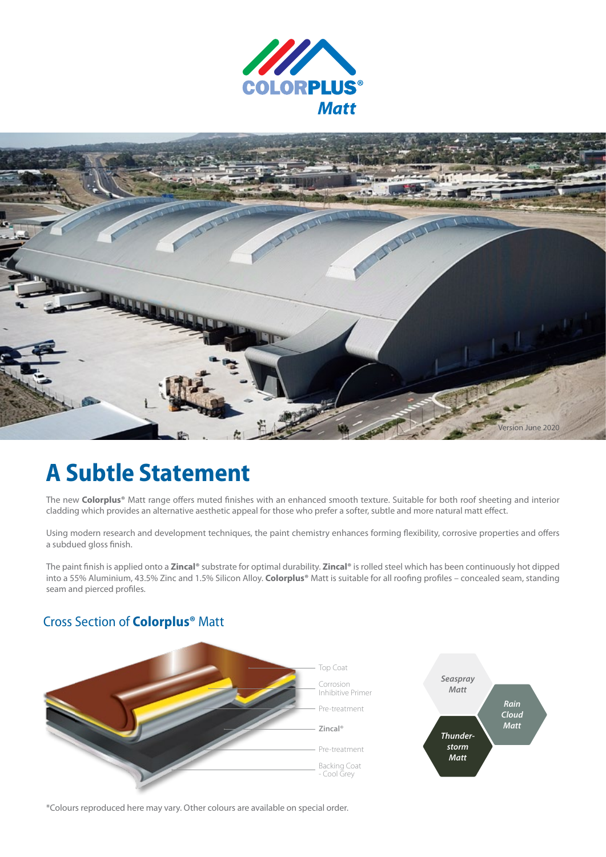



# **A Subtle Statement**

The new **Colorplus®** Matt range offers muted finishes with an enhanced smooth texture. Suitable for both roof sheeting and interior cladding which provides an alternative aesthetic appeal for those who prefer a softer, subtle and more natural matt effect.

Using modern research and development techniques, the paint chemistry enhances forming flexibility, corrosive properties and offers a subdued gloss finish.

The paint finish is applied onto a **Zincal®** substrate for optimal durability. **Zincal®** is rolled steel which has been continuously hot dipped into a 55% Aluminium, 43.5% Zinc and 1.5% Silicon Alloy. **Colorplus®** Matt is suitable for all roofing profiles – concealed seam, standing seam and pierced profiles.

## Cross Section of **Colorplus®** Matt



\*Colours reproduced here may vary. Other colours are available on special order.